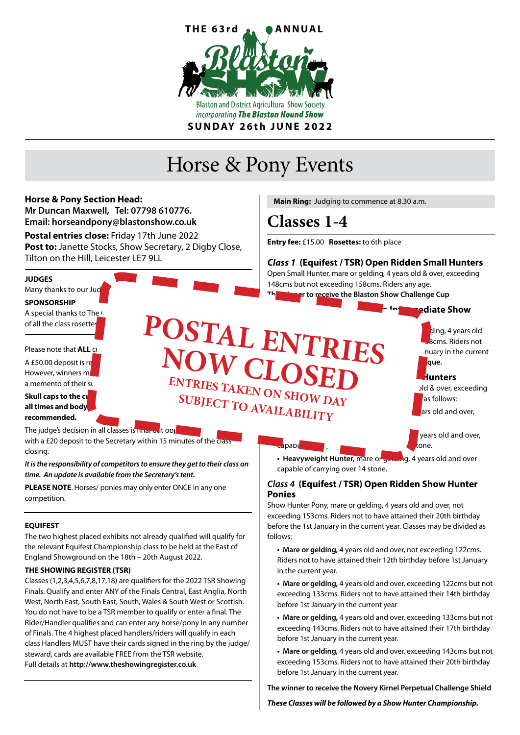

# Horse & Pony Events



Finals. Qualify and enter ANY of the Finals Central, East Anglia, North West, North East, South East, South, Wales & South West or Scottish. You do not have to be a TSR member to qualify or enter a final. The Rider/Handler qualifies and can enter any horse/pony in any number of Finals. The 4 highest placed handlers/riders will qualify in each class Handlers MUST have their cards signed in the ring by the judge/ steward, cards are available FREE from the TSR website. Full details at **http://www.theshowingregister.co.uk**

**• Mare or gelding,** 4 years old and over, exceeding 143cms but not exceeding 153cms. Riders not to have attained their 20th birthday

exceeding 133cms. Riders not to have attained their 14th birthday

**• Mare or gelding,** 4 years old and over, exceeding 133cms but not exceeding 143cms. Riders not to have attained their 17th birthday

before 1st January in the current year

before 1st January in the current year.

before 1st January in the current year.

**The winner to receive the Novery Kirnel Perpetual Challenge Shield** 

*These Classes will be followed by a Show Hunter Championship.*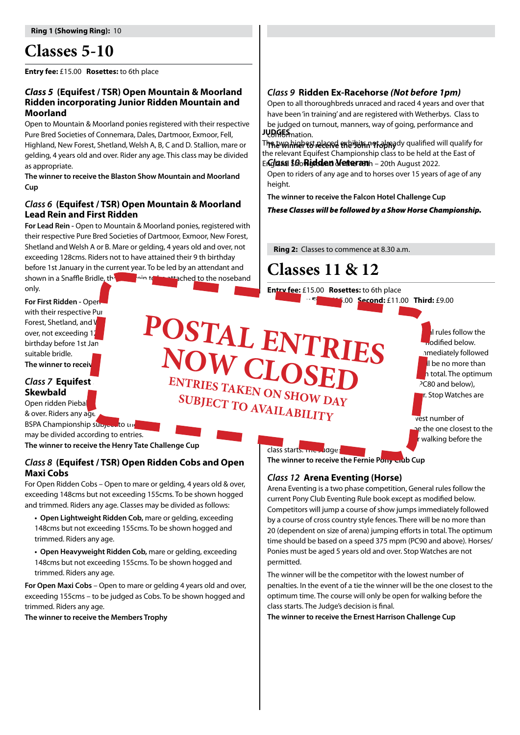# **Classes 5-10**

**Entry fee:** £15.00 **Rosettes:** to 6th place

### *Class 5* **(Equifest / TSR) Open Mountain & Moorland Ridden incorporating Junior Ridden Mountain and Moorland**

Open to Mountain & Moorland ponies registered with their respective Pure Bred Societies of Connemara, Dales, Dartmoor, Exmoor, Fell, Highland, New Forest, Shetland, Welsh A, B, C and D. Stallion, mare or gelding, 4 years old and over. Rider any age. This class may be divided as appropriate.

**The winner to receive the Blaston Show Mountain and Moorland Cup**

### *Class 6* **(Equifest / TSR) Open Mountain & Moorland Lead Rein and First Ridden**

**For Lead Rein -** Open to Mountain & Moorland ponies, registered with their respective Pure Bred Societies of Dartmoor, Exmoor, New Forest, Shetland and Welsh A or B. Mare or gelding, 4 years old and over, not exceeding 128cms. Riders not to have attained their 9 th birthday before 1st January in the current year. To be led by an attendant and shown in a Snaffle Bridle, the leadship to be attached to the noseband

only.

**For First Ridden - Open** with their respective Pure Bred Societies of Dartmoor, New York, New York, New York, New York, New York, New York, N Forest, Shetland, and Welsh A or B. Mare or gelding, 4 years of B. Mare or gelding, 4 years of  $\blacksquare$ over, not exceeding 12 cms. Riders not to have attained the set of the set of the set of the set of the set of birthday before 1st January 1990 and current year. suitable bridle. The winner to receive **NOW CLOS** 

# *Class 7 Equifest* **Skewbald**

Open ridden Piebald and state states of  $\overline{O}$   $\overline{O}$   $\overline{O}$   $\overline{O}$ & over. Riders any age.

BSPA Championship subject to the may be divided according to entries.

**The winner to receive the Henry Tate Challenge Cup**

# *Class 8* **(Equifest / TSR) Open Ridden Cobs and Open Maxi Cobs**

For Open Ridden Cobs – Open to mare or gelding, 4 years old & over, exceeding 148cms but not exceeding 155cms. To be shown hogged and trimmed. Riders any age. Classes may be divided as follows:

**• Open Lightweight Ridden Cob,** mare or gelding, exceeding 148cms but not exceeding 155cms. To be shown hogged and trimmed. Riders any age.

**• Open Heavyweight Ridden Cob,** mare or gelding, exceeding 148cms but not exceeding 155cms. To be shown hogged and trimmed. Riders any age.

**For Open Maxi Cobs** – Open to mare or gelding 4 years old and over, exceeding 155cms – to be judged as Cobs. To be shown hogged and trimmed. Riders any age.

**The winner to receive the Members Trophy**

# *Class 9* **Ridden Ex-Racehorse** *(Not before 1pm)*

Open to all thoroughbreds unraced and raced 4 years and over that have been 'in training' and are registered with Wetherbys. Class to be judged on turnout, manners, way of going, performance and JUDGES mation.

**The winner to receive the 'John' Trophy** The two highest placed exhibits not already qualified will qualify for Englass *10***Ridden Veteran**h - 20th August 2022. the relevant Equifest Championship class to be held at the East of

Open to riders of any age and to horses over 15 years of age of any height.

**The winner to receive the Falcon Hotel Challenge Cup**

*These Classes will be followed by a Show Horse Championship.*

 **Ring 2:** Classes to commence at 8.30 a.m.

# **Classes 11 & 12**

**Entry fee:** £15.00 **Rosettes:** to 6th place **Prize Money First:** £15.00 **Second:** £11.00 **Third:** £9.00

Arena Eventing in the set of the set of the set of the set of the set of the set of the set of the set of the set of the set of the set of the set of the set of the set of the set of the set of the set of the set of the se  $\mathbf{P} \mathbf{N}$   $\mathbf{P} \mathbf{D} \mathbf{F} \mathbf{D}$  as a modified below. **COMPUTER IN INC.** Indicately followed **POSTAL ENTRIES**  $\blacksquare$  ,  $\blacksquare$   $\blacksquare$   $\blacksquare$   $\blacksquare$   $\blacksquare$   $\blacksquare$   $\blacksquare$   $\blacksquare$   $\blacksquare$   $\blacksquare$   $\blacksquare$   $\blacksquare$   $\blacksquare$   $\blacksquare$   $\blacksquare$   $\blacksquare$   $\blacksquare$   $\blacksquare$   $\blacksquare$   $\blacksquare$   $\blacksquare$   $\blacksquare$   $\blacksquare$   $\blacksquare$   $\blacksquare$   $\blacksquare$   $\blacksquare$   $\blacksquare$   $\blacksquare$   $\blacksquare$   $\$ time should be based on a speed of 325 mpm (PC80 and below),  $J N S H N N$ 

**SUBJECT TO AVAILABILITY** vest number of pe the one closest to the walking before the

class starts. The Judge:

**NOW CLOSED**<br> **ENTRIES TAKEN ON SHOW DAY** 

The winner to receive the Fernie Pony and Cup

# *Class 12* **Arena Eventing (Horse)**

Arena Eventing is a two phase competition, General rules follow the current Pony Club Eventing Rule book except as modified below. Competitors will jump a course of show jumps immediately followed by a course of cross country style fences. There will be no more than 20 (dependent on size of arena) jumping efforts in total. The optimum time should be based on a speed 375 mpm (PC90 and above). Horses/ Ponies must be aged 5 years old and over. Stop Watches are not permitted.

The winner will be the competitor with the lowest number of penalties. In the event of a tie the winner will be the one closest to the optimum time. The course will only be open for walking before the class starts. The Judge's decision is final.

**The winner to receive the Ernest Harrison Challenge Cup**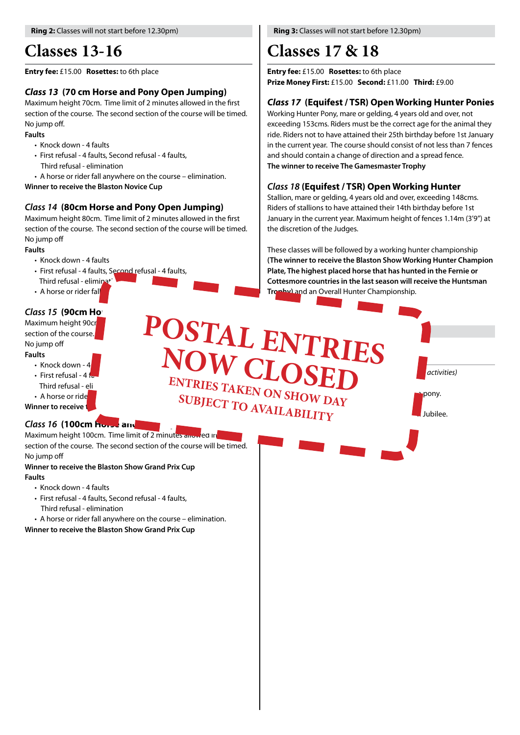# **Classes 13-16**

#### **Entry fee:** £15.00 **Rosettes:** to 6th place

# *Class 13* **(70 cm Horse and Pony Open Jumping)**

Maximum height 70cm. Time limit of 2 minutes allowed in the first section of the course. The second section of the course will be timed. No jump off.

#### **Faults**

- Knock down 4 faults
- First refusal 4 faults, Second refusal 4 faults, Third refusal - elimination
	-
- A horse or rider fall anywhere on the course elimination.

**Winner to receive the Blaston Novice Cup**

### *Class 14* **(80cm Horse and Pony Open Jumping)**

Maximum height 80cm. Time limit of 2 minutes allowed in the first section of the course. The second section of the course will be timed. No jump off

#### **Faults**

- Knock down 4 faults
- First refusal 4 faults, Second refusal 4 faults,
- Third refusal elimina<sup>+</sup>
- $\cdot$  A horse or rider fall

# *Class 15 (90cm Ho)*

Maximum height 90cm. The first of 2 minutes and 2 minutes allowed in the first allowed in the first allowed in section of the course. **The section of the course.** No jump off

#### **Faults**

- $\cdot$  Knock down 4 ults<br>• Knock down - 4 **KNUW CLO**
- 
- Third refusal eli
- A horse or rider fall and the course  $\mathbf{SIDID}$

**Winner to receive the Blast** 

# *Class 16* (100cm Horse and

Maximum height 100cm. Time limit of 2 minutes allowed in section of the course. The second section of the course will be timed. No jump off

#### **Winner to receive the Blaston Show Grand Prix Cup Faults**

- Knock down 4 faults
- First refusal 4 faults, Second refusal 4 faults,
- Third refusal elimination
- A horse or rider fall anywhere on the course elimination.
- **Winner to receive the Blaston Show Grand Prix Cup**

 **Ring 3:** Classes will not start before 12.30pm)

# **Classes 17 & 18**

POSTAL ENTRIES

**Entry FREE**

**SUBJECT TO AVAILABILITY** 

**NOW CLOSED**<br> **ENTRIES TAKEN ON SHOW DAY** 

**Entry fee:** £15.00 **Rosettes:** to 6th place **Prize Money First:** £15.00 **Second:** £11.00 **Third:** £9.00

# *Class 17* **(Equifest / TSR) Open Working Hunter Ponies**

Working Hunter Pony, mare or gelding, 4 years old and over, not exceeding 153cms. Riders must be the correct age for the animal they ride. Riders not to have attained their 25th birthday before 1st January in the current year. The course should consist of not less than 7 fences and should contain a change of direction and a spread fence. **The winner to receive The Gamesmaster Trophy**

# *Class 18* **(Equifest / TSR) Open Working Hunter**

**2.000pm** *activities* 

 $T_{\rm N}$   $T_{\rm N}$   $T_{\rm N}$   $T_{\rm N}$   $T_{\rm N}$  pony.

Stallion, mare or gelding, 4 years old and over, exceeding 148cms. Riders of stallions to have attained their 14th birthday before 1st January in the current year. Maximum height of fences 1.14m (3'9") at the discretion of the Judges.

These classes will be followed by a working hunter championship **(The winner to receive the Blaston Show Working Hunter Champion Plate, The highest placed horse that has hunted in the Fernie or Cottesmore countries in the last season will receive the Huntsman Trophy)** and an Overall Hunter Championship.